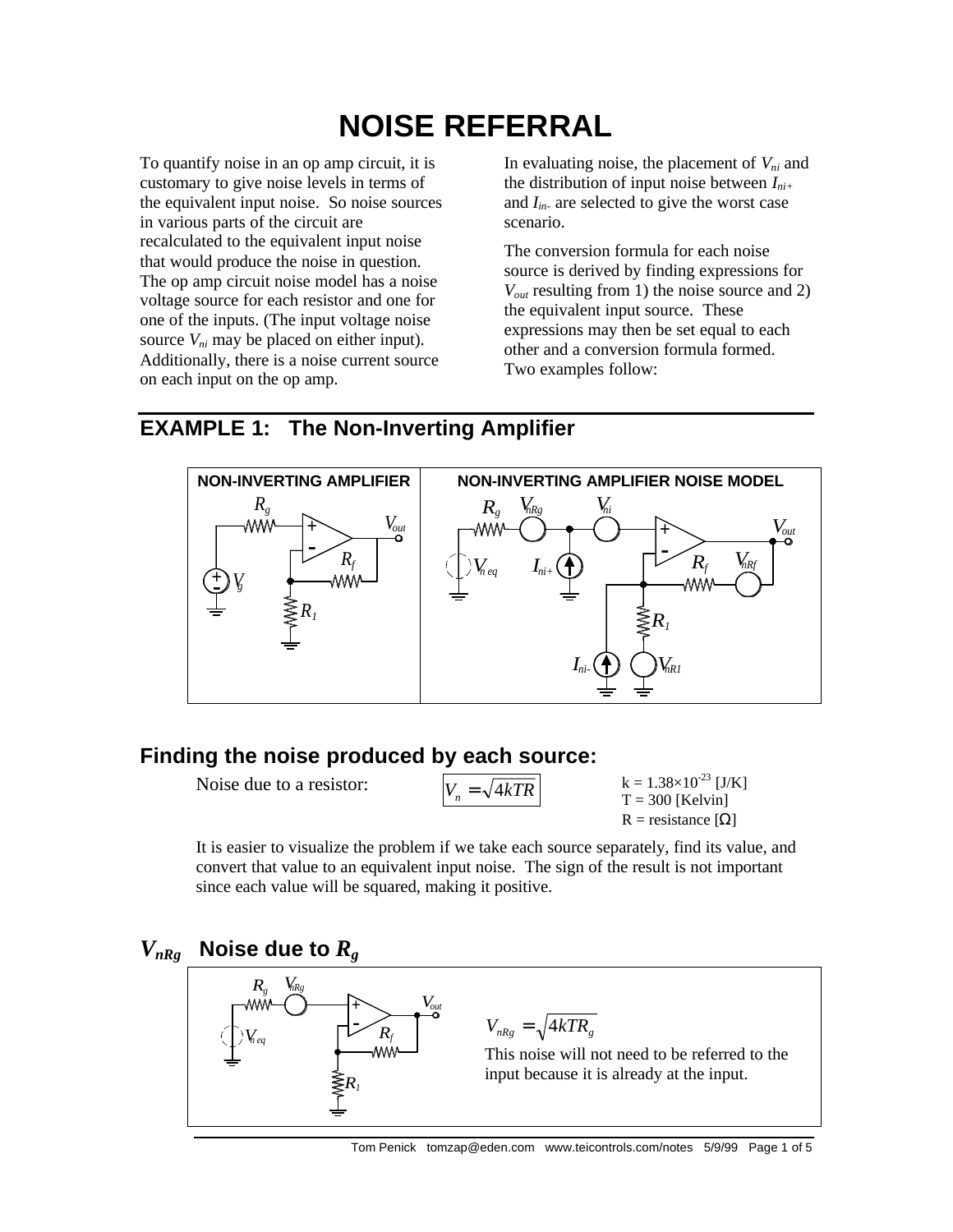# **NOISE REFERRAL**

To quantify noise in an op amp circuit, it is customary to give noise levels in terms of the equivalent input noise. So noise sources in various parts of the circuit are recalculated to the equivalent input noise that would produce the noise in question. The op amp circuit noise model has a noise voltage source for each resistor and one for one of the inputs. (The input voltage noise source  $V_{ni}$  may be placed on either input). Additionally, there is a noise current source on each input on the op amp.

In evaluating noise, the placement of *Vni* and the distribution of input noise between *Ini+* and *Iin-* are selected to give the worst case scenario.

The conversion formula for each noise source is derived by finding expressions for *Vout* resulting from 1) the noise source and 2) the equivalent input source. These expressions may then be set equal to each other and a conversion formula formed. Two examples follow:

### **EXAMPLE 1: The Non-Inverting Amplifier**



# **Finding the noise produced by each source:**

Noise due to a resistor:  $V_n = \sqrt{4kTR}$ 

$$
k = 1.38 \times 10^{-23} [J/K]
$$
  
T = 300 [Kelvin]  
R = resistance  $[\Omega]$ 

It is easier to visualize the problem if we take each source separately, find its value, and convert that value to an equivalent input noise. The sign of the result is not important since each value will be squared, making it positive.

#### $V_{nRg}$  Noise due to  $R_g$ - + *Rf R1 nRg g n eq R V V Vout*  $V_{nRg} = \sqrt{4kTR_g}$ This noise will not need to be referred to the input because it is already at the input.

Tom Penick tomzap@eden.com www.teicontrols.com/notes 5/9/99 Page 1 of 5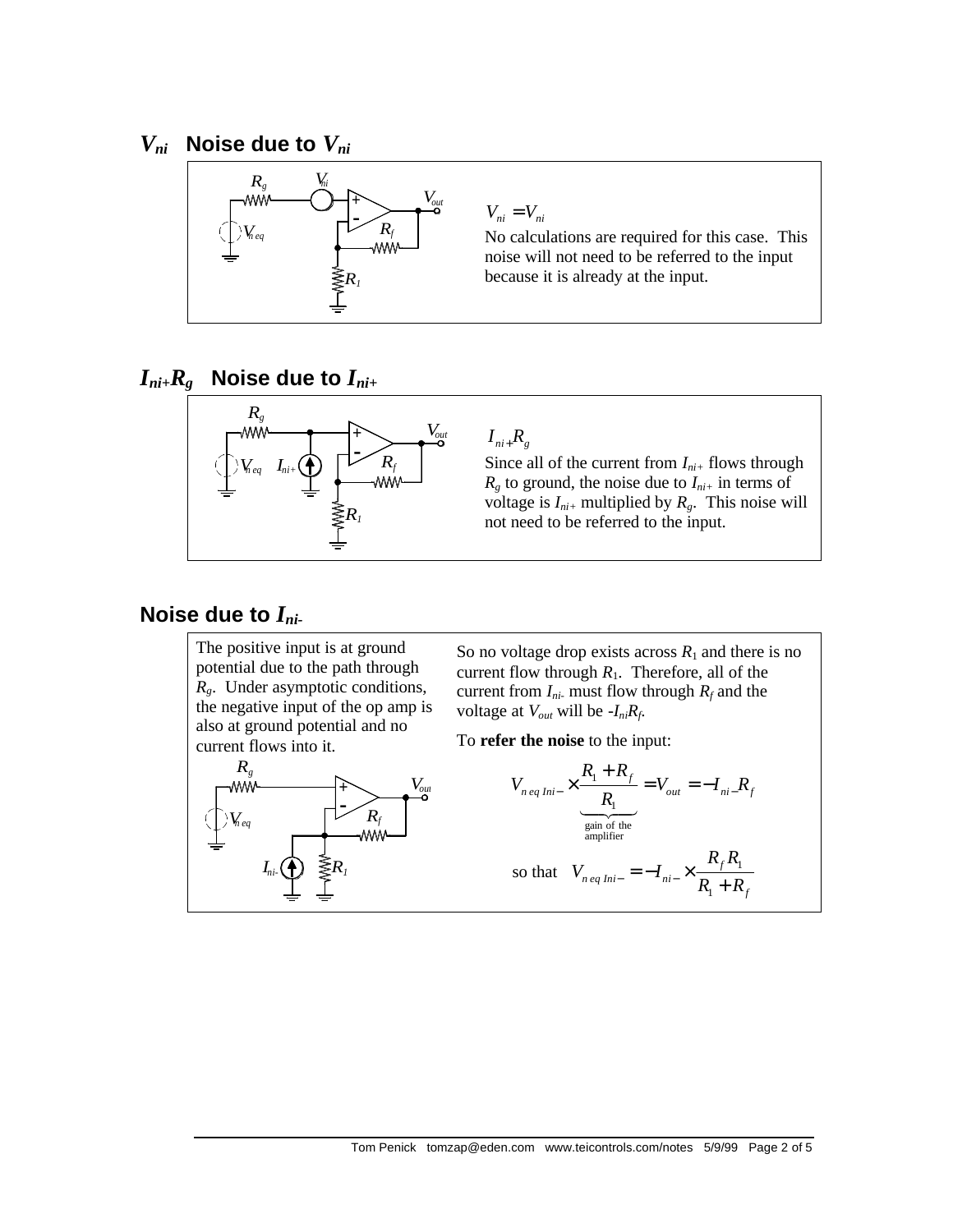### $V_{ni}$  Noise due to  $V_{ni}$



#### $I_{ni+}R_g$  Noise due to  $I_{ni+}$



#### $I_{ni+}R_{g}$

Since all of the current from  $I_{ni+}$  flows through  $R_g$  to ground, the noise due to  $I_{ni+}$  in terms of voltage is  $I_{ni+}$  multiplied by  $R_g$ . This noise will not need to be referred to the input.

# **Noise due to** *Ini-*

The positive input is at ground potential due to the path through *Rg*. Under asymptotic conditions, the negative input of the op amp is also at ground potential and no current flows into it.



So no voltage drop exists across  $R_1$  and there is no current flow through  $R_1$ . Therefore, all of the current from  $I_{ni}$  must flow through  $R_f$  and the voltage at  $V_{out}$  will be  $-I_{ni}R_f$ .

To **refer the noise** to the input:

$$
V_{\text{neq Ini-}} \times \frac{R_1 + R_f}{R_1} = V_{\text{out}} = -I_{\text{ni-}}R_f
$$
  
gain of the  
amplifier  
so that  $V_{\text{neq Ini-}} = -I_{\text{ni-}} \times \frac{R_f R_1}{R_1 + R_f}$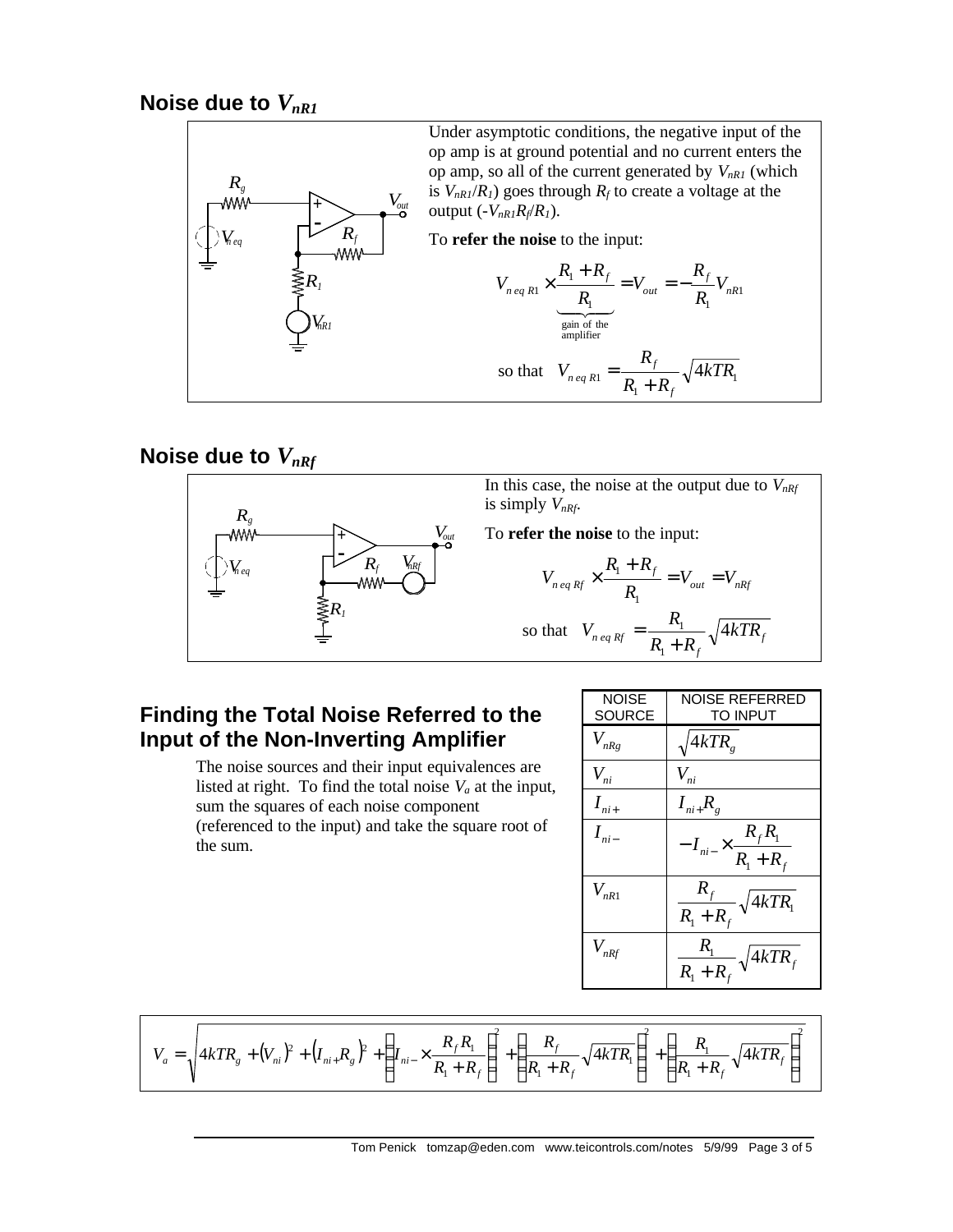#### **Noise due to**  $V_{nR1}$



# Noise due to  $V_{nRf}$



#### **Finding the Total Noise Referred to the Input of the Non-Inverting Amplifier**

The noise sources and their input equivalences are listed at right. To find the total noise  $V_a$  at the input, sum the squares of each noise component (referenced to the input) and take the square root of the sum.

| NOISE<br>SOURCE | NOISE REFERRED<br>TO INPUT                  |
|-----------------|---------------------------------------------|
| $V_{nRg}$       | $4kTR_{\tiny e}$                            |
| $V_{ni}$        | $V_{ni}$                                    |
| $I_{ni+}$       | $I_{ni+}R_{g}$                              |
| $I_{ni-}$       | $-I_{ni-} \times \frac{R_f R_1}{R_1 + R_f}$ |
| $V_{nR1}$       | $\frac{R_f}{R_1 + R_f}$<br>$\sqrt{4kTR_1}$  |
| $V_{nRf}$       | $\frac{R_1}{R_1+R_f}\sqrt{4kTR_f}$          |

$$
V_a = \sqrt{4kTR_s + (V_{ni})^2 + (I_{ni} + R_s)^2 + (I_{ni} - R_f R_i)} + (I_{ni} - R_f R_f)^2 + (R_f - R_f)^2 + (R_i + R_f)^2 + (R_i + R_f)^2}
$$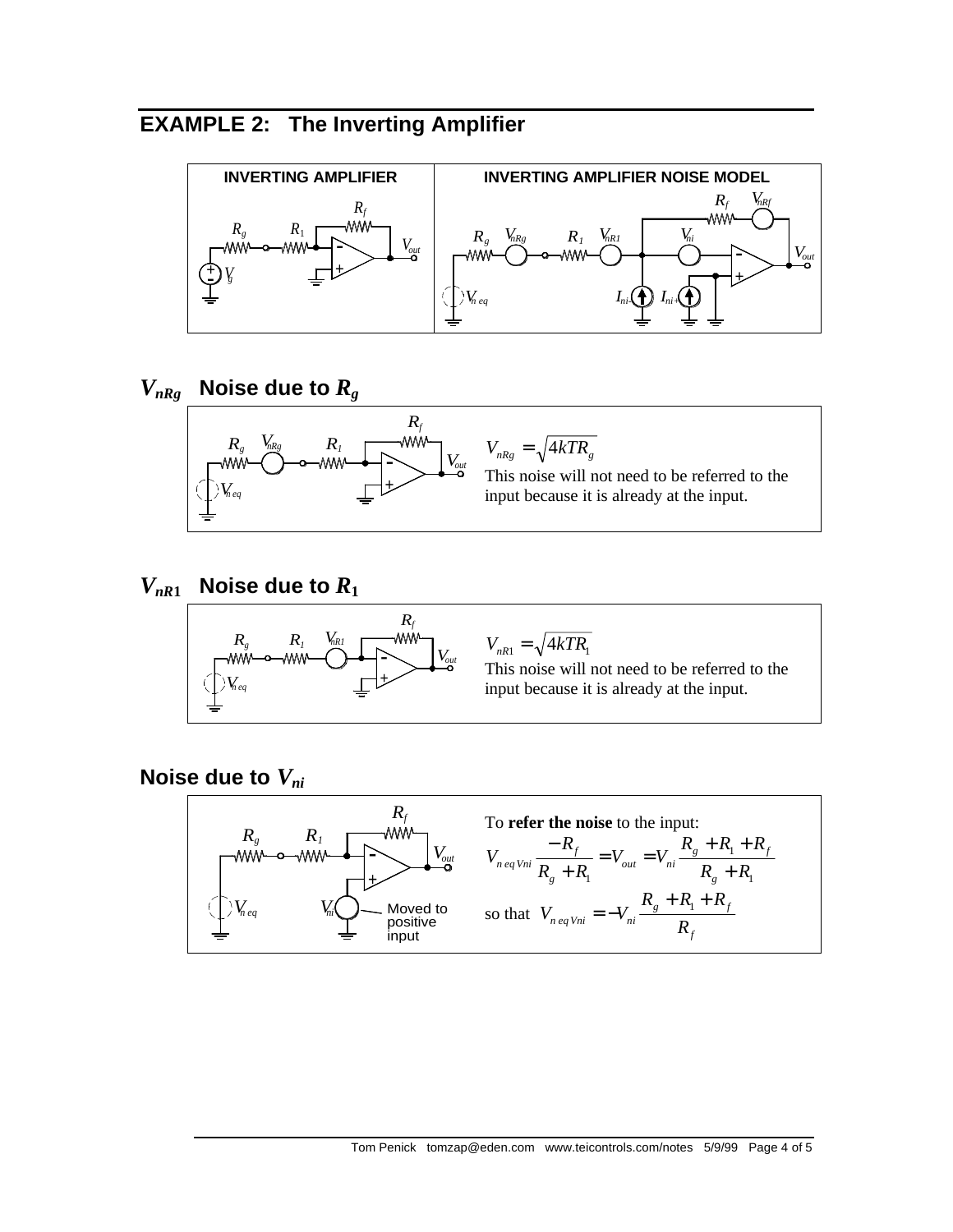# **EXAMPLE 2: The Inverting Amplifier**





```
V_{nR1} Noise due to R_1
```


 $V_{nR1} = \sqrt{4kTR_1}$ 

This noise will not need to be referred to the input because it is already at the input.

**Noise due to** *Vni*